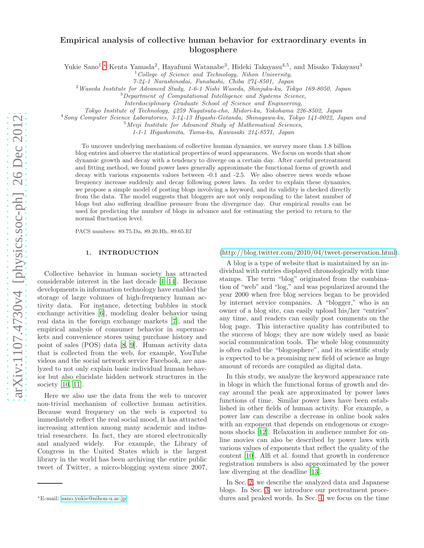## Empirical analysis of collective human behavior for extraordinary events in blogosphere

Yukie Sano<sup>1</sup>,\* Kenta Yamada<sup>2</sup>, Hayafumi Watanabe<sup>3</sup>, Hideki Takayasu<sup>4,5</sup>, and Misako Takayasu<sup>3</sup>

 $1^1$ College of Science and Technology, Nihon University,

7-24-1 Narashinodai, Funabashi, Chiba 274-8501, Japan

<sup>2</sup>Waseda Institute for Advanced Study, 1-6-1 Nishi Waseda, Shinjuku-ku, Tokyo 169-8050, Japan

<sup>3</sup>Department of Computational Intelligence and Systems Science,

Interdisciplinary Graduate School of Science and Engineering,

Tokyo Institute of Technology, 4259 Nagatsuta-cho, Midori-ku, Yokohama 226-8502, Japan

<sup>4</sup>Sony Computer Science Laboratories, 3-14-13 Higashi-Gotanda, Shinagawa-ku, Tokyo 141-0022, Japan and

 $5$ Meiji Institute for Advanced Study of Mathematical Sciences,

1-1-1 Higashimita, Tama-ku, Kawasaki 214-8571, Japan

To uncover underlying mechanism of collective human dynamics, we survey more than 1.8 billion blog entries and observe the statistical properties of word appearances. We focus on words that show dynamic growth and decay with a tendency to diverge on a certain day. After careful pretreatment and fitting method, we found power laws generally approximate the functional forms of growth and decay with various exponents values between -0.1 and -2.5. We also observe news words whose frequency increase suddenly and decay following power laws. In order to explain these dynamics, we propose a simple model of posting blogs involving a keyword, and its validity is checked directly from the data. The model suggests that bloggers are not only responding to the latest number of blogs but also suffering deadline pressure from the divergence day. Our empirical results can be used for predicting the number of blogs in advance and for estimating the period to return to the normal fluctuation level.

PACS numbers: 89.75.Da, 89.20.Hh, 89.65.Ef

#### 1. INTRODUCTION

Collective behavior in human society has attracted considerable interest in the last decade [\[1](#page-9-0)[–14\]](#page-9-1). Because developments in information technology have enabled the storage of large volumes of high-frequency human activity data. For instance, detecting bubbles in stock exchange activities [\[6](#page-9-2)], modeling dealer behavior using real data in the foreign exchange markets [\[7](#page-9-3)], and the empirical analysis of consumer behavior in supermarkets and convenience stores using purchase history and point of sales (POS) data [\[8](#page-9-4), [9](#page-9-5)]. Human activity data that is collected from the web, for example, YouTube videos and the social network service Facebook, are analyzed to not only explain basic individual human behavior but also elucidate hidden network structures in the society [\[10,](#page-9-6) [11\]](#page-9-7).

Here we also use the data from the web to uncover non-trivial mechanism of collective human activities. Because word frequency on the web is expected to immediately reflect the real social mood, it has attracted increasing attention among many academic and industrial researchers. In fact, they are stored electronically and analyzed widely. For example, the Library of Congress in the United States which is the largest library in the world has been archiving the entire public tweet of Twitter, a micro-blogging system since 2007,

[\(http://blog.twitter.com/2010/04/tweet-preservation.html\)](http://blog.twitter.com/2010/04/tweet-preservation.html).

A blog is a type of website that is maintained by an individual with entries displayed chronologically with time stamps. The term "blog" originated from the combination of "web" and "log," and was popularized around the year 2000 when free blog services began to be provided by internet service companies. A "blogger," who is an owner of a blog site, can easily upload his/her "entries" any time, and readers can easily post comments on the blog page. This interactive quality has contributed to the success of blogs; they are now widely used as basic social communication tools. The whole blog community is often called the "blogosphere", and its scientific study is expected to be a promising new field of science as huge amount of records are compiled as digital data.

In this study, we analyze the keyword appearance rate in blogs in which the functional forms of growth and decay around the peak are approximated by power laws functions of time. Similar power laws have been established in other fields of human activity. For example, a power law can describe a decrease in online book sales with an exponent that depends on endogenous or exogenous shocks [\[12](#page-9-8)]. Relaxation in audience number for online movies can also be described by power laws with various values of exponents that reflect the quality of the content [\[10](#page-9-6)]. Alfi et al. found that growth in conference registration numbers is also approximated by the power law diverging at the deadline [\[13\]](#page-9-9).

In Sec. [2,](#page-1-0) we describe the analyzed data and Japanese blogs. In Sec. [3,](#page-1-1) we introduce our pretreatment procedures and peaked words. In Sec. [4,](#page-3-0) we focus on the time

<span id="page-0-0"></span><sup>∗</sup>E-mail: [sano.yukie@nihon-u.ac.jp](mailto:sano.yukie@nihon-u.ac.jp)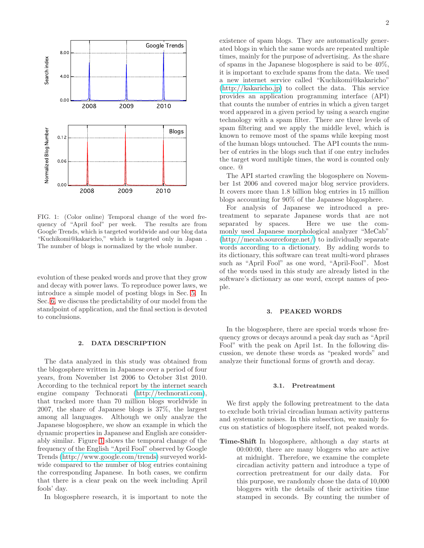

<span id="page-1-2"></span>FIG. 1: (Color online) Temporal change of the word frequency of "April fool" per week. The results are from Google Trends, which is targeted worldwide and our blog data "Kuchikomi@kakaricho," which is targeted only in Japan . The number of blogs is normalized by the whole number.

evolution of these peaked words and prove that they grow and decay with power laws. To reproduce power laws, we introduce a simple model of posting blogs in Sec. [5.](#page-5-0) In Sec. [6,](#page-6-0) we discuss the predictability of our model from the standpoint of application, and the final section is devoted to conclusions.

## <span id="page-1-0"></span>2. DATA DESCRIPTION

The data analyzed in this study was obtained from the blogosphere written in Japanese over a period of four years, from November 1st 2006 to October 31st 2010. According to the technical report by the internet search engine company Technorati [\(http://technorati.com\)](http://technorati.com), that tracked more than 70 million blogs worldwide in 2007, the share of Japanese blogs is 37%, the largest among all languages. Although we only analyze the Japanese blogosphere, we show an example in which the dynamic properties in Japanese and English are considerably similar. Figure [1](#page-1-2) shows the temporal change of the frequency of the English "April Fool" observed by Google Trends [\(http://www.google.com/trends\)](http://www.google.com/trends) surveyed worldwide compared to the number of blog entries containing the corresponding Japanese. In both cases, we confirm that there is a clear peak on the week including April fools' day.

In blogosphere research, it is important to note the

existence of spam blogs. They are automatically generated blogs in which the same words are repeated multiple times, mainly for the purpose of advertising. As the share of spams in the Japanese blogosphere is said to be 40%, it is important to exclude spams from the data. We used a new internet service called "Kuchikomi@kakaricho" [\(http://kakaricho.jp\)](http://kakaricho.jp) to collect the data. This service provides an application programming interface (API) that counts the number of entries in which a given target word appeared in a given period by using a search engine technology with a spam filter. There are three levels of spam filtering and we apply the middle level, which is known to remove most of the spams while keeping most of the human blogs untouched. The API counts the number of entries in the blogs such that if one entry includes the target word multiple times, the word is counted only once. @

The API started crawling the blogosphere on November 1st 2006 and covered major blog service providers. It covers more than 1.8 billion blog entries in 15 million blogs accounting for 90% of the Japanese blogosphere.

For analysis of Japanese we introduced a pretreatment to separate Japanese words that are not separated by spaces. Here we use the commonly used Japanese morphological analyzer "MeCab" [\(http://mecab.sourceforge.net/\)](http://mecab.sourceforge.net/) to individually separate words according to a dictionary. By adding words to its dictionary, this software can treat multi-word phrases such as "April Fool" as one word, "April-Fool". Most of the words used in this study are already listed in the software's dictionary as one word, except names of people.

## <span id="page-1-1"></span>3. PEAKED WORDS

In the blogosphere, there are special words whose frequency grows or decays around a peak day such as "April Fool" with the peak on April 1st. In the following discussion, we denote these words as "peaked words" and analyze their functional forms of growth and decay.

#### <span id="page-1-3"></span>3.1. Pretreatment

We first apply the following pretreatment to the data to exclude both trivial circadian human activity patterns and systematic noises. In this subsection, we mainly focus on statistics of blogosphere itself, not peaked words.

Time-Shift In blogosphere, although a day starts at 00:00:00, there are many bloggers who are active at midnight. Therefore, we examine the complete circadian activity pattern and introduce a type of correction pretreatment for our daily data. For this purpose, we randomly chose the data of 10,000 bloggers with the details of their activities time stamped in seconds. By counting the number of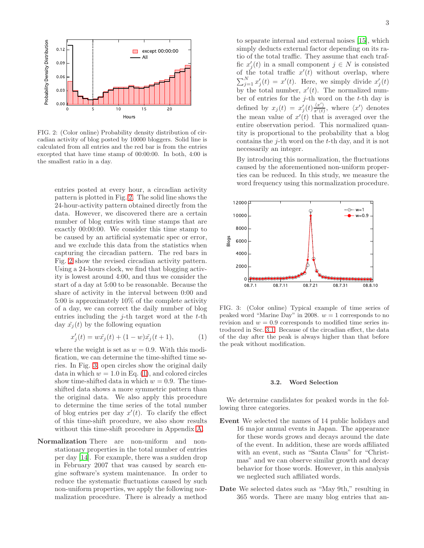

<span id="page-2-0"></span>FIG. 2: (Color online) Probability density distribution of circadian activity of blog posted by 10000 bloggers. Solid line is calculated from all entries and the red bar is from the entries excepted that have time stamp of 00:00:00. In both, 4:00 is the smallest ratio in a day.

entries posted at every hour, a circadian activity pattern is plotted in Fig. [2.](#page-2-0) The solid line shows the 24-hour-activity pattern obtained directly from the data. However, we discovered there are a certain number of blog entries with time stamps that are exactly 00:00:00. We consider this time stamp to be caused by an artificial systematic spec or error, and we exclude this data from the statistics when capturing the circadian pattern. The red bars in Fig. [2](#page-2-0) show the revised circadian activity pattern. Using a 24-hours clock, we find that blogging activity is lowest around 4:00, and thus we consider the start of a day at 5:00 to be reasonable. Because the share of activity in the interval between 0:00 and 5:00 is approximately 10% of the complete activity of a day, we can correct the daily number of blog entries including the  $i$ -th target word at the  $t$ -th day  $\tilde{x}_i(t)$  by the following equation

<span id="page-2-2"></span>
$$
x'_{j}(t) = w\tilde{x}_{j}(t) + (1 - w)\tilde{x}_{j}(t + 1),
$$
 (1)

where the weight is set as  $w = 0.9$ . With this modification, we can determine the time-shifted time series. In Fig. [3,](#page-2-1) open circles show the original daily data in which  $w = 1.0$  in Eq. [\(1\)](#page-2-2), and colored circles show time-shifted data in which  $w = 0.9$ . The timeshifted data shows a more symmetric pattern than the original data. We also apply this procedure to determine the time series of the total number of blog entries per day  $x'(t)$ . To clarify the effect of this time-shift procedure, we also show results without this time-shift procedure in Appendix [A.](#page-7-0)

Normalization There are non-uniform and nonstationary properties in the total number of entries per day [\[14\]](#page-9-1). For example, there was a sudden drop in February 2007 that was caused by search engine software's system maintenance. In order to reduce the systematic fluctuations caused by such non-uniform properties, we apply the following normalization procedure. There is already a method to separate internal and external noises [\[15](#page-9-10)], which simply deducts external factor depending on its ratio of the total traffic. They assume that each traffic  $x'_j(t)$  in a small component  $j \in N$  is consisted of the total traffic  $x'(t)$  without overlap, where  $\sum_{j=1}^{N} x'_j(t) = x'(t)$ . Here, we simply divide  $x'_j(t)$ by the total number,  $x'(t)$ . The normalized number of entries for the j-th word on the t-th day is defined by  $x_j(t) = x'_j(t) \frac{\langle x' \rangle}{x'(t)}$ , where  $\langle x' \rangle$  denotes the mean value of  $x'(t)$  that is averaged over the entire observation period. This normalized quantity is proportional to the probability that a blog contains the  $j$ -th word on the  $t$ -th day, and it is not necessarily an integer.

By introducing this normalization, the fluctuations caused by the aforementioned non-uniform properties can be reduced. In this study, we measure the word frequency using this normalization procedure.



<span id="page-2-1"></span>FIG. 3: (Color online) Typical example of time series of peaked word "Marine Day" in 2008.  $w = 1$  corresponds to no revision and  $w = 0.9$  corresponds to modified time series introduced in Sec. [3.1.](#page-1-3) Because of the circadian effect, the data of the day after the peak is always higher than that before the peak without modification.

#### 3.2. Word Selection

We determine candidates for peaked words in the following three categories.

- Event We selected the names of 14 public holidays and 16 major annual events in Japan. The appearance for these words grows and decays around the date of the event. In addition, these are words affiliated with an event, such as "Santa Claus" for "Christmas" and we can observe similar growth and decay behavior for those words. However, in this analysis we neglected such affiliated words.
- Date We selected dates such as "May 9th," resulting in 365 words. There are many blog entries that an-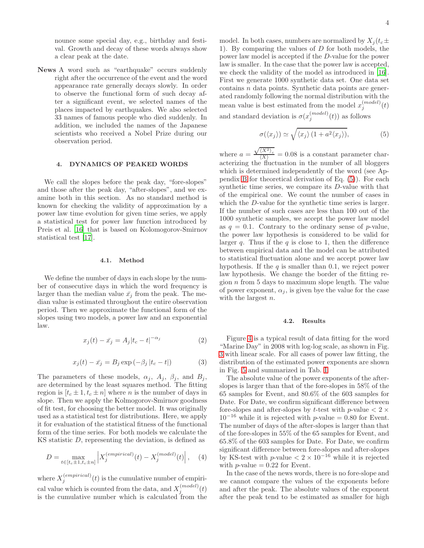nounce some special day, e.g., birthday and festival. Growth and decay of these words always show a clear peak at the date.

News A word such as "earthquake" occurs suddenly right after the occurrence of the event and the word appearance rate generally decays slowly. In order to observe the functional form of such decay after a significant event, we selected names of the places impacted by earthquakes. We also selected 33 names of famous people who died suddenly. In addition, we included the names of the Japanese scientists who received a Nobel Prize during our observation period.

## <span id="page-3-0"></span>4. DYNAMICS OF PEAKED WORDS

We call the slopes before the peak day, "fore-slopes" and those after the peak day, "after-slopes", and we examine both in this section. As no standard method is known for checking the validity of approximation by a power law time evolution for given time series, we apply a statistical test for power law function introduced by Preis et al. [\[16\]](#page-9-11) that is based on Kolomogorov-Smirnov statistical test [\[17\]](#page-9-12).

#### 4.1. Method

We define the number of days in each slope by the number of consecutive days in which the word frequency is larger than the median value  $\bar{x}_j$  from the peak. The median value is estimated throughout the entire observation period. Then we approximate the functional form of the slopes using two models, a power law and an exponential law.

<span id="page-3-2"></span>
$$
x_j(t) - \bar{x_j} = A_j |t_c - t|^{-\alpha_j} \tag{2}
$$

<span id="page-3-3"></span>
$$
x_j(t) - \bar{x_j} = B_j \exp\left(-\beta_j |t_c - t|\right) \tag{3}
$$

The parameters of these models,  $\alpha_j$ ,  $A_j$ ,  $\beta_j$ , and  $B_j$ , are determined by the least squares method. The fitting region is  $[t_c \pm 1, t_c \pm n]$  where *n* is the number of days in slope. Then we apply the Kolmogorov-Smirnov goodness of fit test, for choosing the better model. It was originally used as a statistical test for distributions. Here, we apply it for evaluation of the statistical fitness of the functional form of the time series. For both models we calculate the KS statistic D, representing the deviation, is defined as

$$
D = \max_{t \in [t_c \pm 1, t_c \pm n]} \left| X_j^{(empirical)}(t) - X_j^{(model)}(t) \right|, \quad (4)
$$

where  $X_j^{(empirical)}(t)$  is the cumulative number of empirical value which is counted from the data, and  $X_j^{(model)}(t)$ is the cumulative number which is calculated from the model. In both cases, numbers are normalized by  $X_i(t_c\pm$ 1). By comparing the values of D for both models, the power law model is accepted if the D-value for the power law is smaller. In the case that the power law is accepted, we check the validity of the model as introduced in [\[16\]](#page-9-11). First we generate 1000 synthetic data set. One data set  $\alpha$  contains  $n$  data points. Synthetic data points are generated randomly following the normal distribution with the mean value is best estimated from the model  $x_j^{(model)}(t)$ and standard deviation is  $\sigma(x_j^{(model)}(t))$  as follows

<span id="page-3-1"></span>
$$
\sigma(\langle x_j \rangle) \simeq \sqrt{\langle x_j \rangle (1 + a^2 \langle x_j \rangle)},\tag{5}
$$

where  $a =$  $\frac{\sqrt{\langle X^2 \rangle_c}}{\langle X \rangle} = 0.08$  is a constant parameter characterizing the fluctuation in the number of all bloggers which is determined independently of the word (see Appendix [B](#page-8-0) for theoretical derivation of Eq. [\(5\)](#page-3-1)). For each synthetic time series, we compare its D-value with that of the empirical one. We count the number of cases in which the *D*-value for the synthetic time series is larger. If the number of such cases are less than 100 out of the 1000 synthetic samples, we accept the power law model as  $q = 0.1$ . Contrary to the ordinary sense of p-value, the power law hypothesis is considered to be valid for larger q. Thus if the q is close to 1, then the difference between empirical data and the model can be attributed to statistical fluctuation alone and we accept power law hypothesis. If the  $q$  is smaller than 0.1, we reject power law hypothesis. We change the border of the fitting region  $n$  from 5 days to maximum slope length. The value of power exponent,  $\alpha_i$ , is given bye the value for the case with the largest  $n$ .

#### <span id="page-3-4"></span>4.2. Results

Figure [4](#page-4-0) is a typical result of data fitting for the word "Marine Day" in 2008 with log-log scale, as shown in Fig. [3](#page-2-1) with linear scale. For all cases of power law fitting, the distribution of the estimated power exponents are shown in Fig. [5](#page-4-1) and summarized in Tab. [I.](#page-4-2)

The absolute value of the power exponents of the afterslopes is larger than that of the fore-slopes in 58% of the 65 samples for Event, and 80.6% of the 603 samples for Date. For Date, we confirm significant difference between fore-slopes and after-slopes by t-test with p-value  $\langle 2 \times \rangle$  $10^{-16}$  while it is rejected with p-value = 0.80 for Event. The number of days of the after-slopes is larger than that of the fore-slopes in 55% of the 65 samples for Event, and 65.8% of the 603 samples for Date. For Date, we confirm significant difference between fore-slopes and after-slopes by KS-test with p-value  $< 2 \times 10^{-16}$  while it is rejected with *p*-value  $= 0.22$  for Event.

In the case of the news words, there is no fore-slope and we cannot compare the values of the exponents before and after the peak. The absolute values of the exponent after the peak tend to be estimated as smaller for high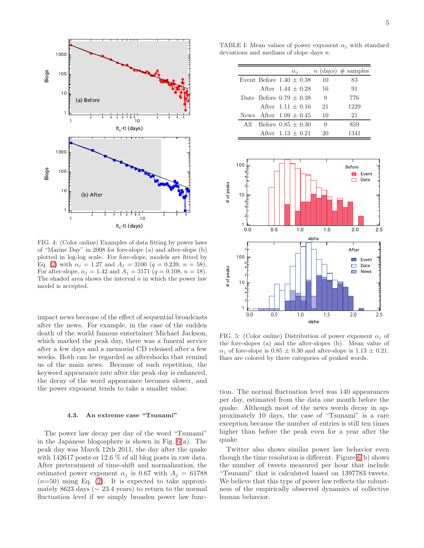

<span id="page-4-0"></span>FIG. 4: (Color online) Examples of data fitting by power laws of "Marine Day" in 2008 for fore-slope (a) and after-slope (b) plotted in log-log scale. For fore-slope, models are fitted by Eq. [\(2\)](#page-3-2) with  $\alpha_i = 1.27$  and  $A_i = 3100$  ( $q = 0.239$ ,  $n = 58$ ). For after-slope,  $\alpha_i = 1.42$  and  $A_i = 3171$  ( $q = 0.108$ ,  $n = 18$ ). The shaded area shows the interval  $n$  in which the power law model is accepted.

impact news because of the effect of sequential broadcasts after the news. For example, in the case of the sudden death of the world famous entertainer Michael Jackson, which marked the peak day, there was a funeral service after a few days and a memorial CD released after a few weeks. Both can be regarded as aftershocks that remind us of the main news. Because of such repetition, the keyword appearance rate after the peak day is enhanced, the decay of the word appearance becomes slower, and the power exponent tends to take a smaller value.

## 4.3. An extreme case "Tsunami"

The power law decay per day of the word "Tsunami" in the Japanese blogosphere is shown in Fig. [6\(](#page-5-1)a). The peak day was March 12th 2011, the day after the quake with 142617 posts or 12.6 % of all blog posts in raw data. After pretreatment of time-shift and normalization, the estimated power exponent  $\alpha_i$  is 0.67 with  $A_i = 61788$  $(n=50)$  using Eq. [\(2\)](#page-3-2). It is expected to take approximately 8623 days ( $\sim$  23.4 years) to return to the normal fluctuation level if we simply broaden power law func-

TABLE I: Mean values of power exponent  $\alpha_i$  with standard deviations and medians of slope days n.

<span id="page-4-2"></span>

|     | $\alpha_i$                   |    | $n \text{ (days)} \# \text{ samples}$ |
|-----|------------------------------|----|---------------------------------------|
|     | Event Before $1.40 \pm 0.38$ | 10 | 83                                    |
|     | After $1.44 + 0.28$          | 16 | 91                                    |
|     | Date Before $0.79 \pm 0.38$  | 9  | 776                                   |
|     | After $1.11 + 0.16$          | 21 | 1229                                  |
|     | News After $1.09 \pm 0.45$   | 10 | 21                                    |
| All | Before $0.85 + 0.30$         | 9  | 859                                   |
|     | After $1.13 \pm 0.21$        | 20 | 1341                                  |



<span id="page-4-1"></span>FIG. 5: (Color online) Distribution of power exponent  $\alpha_i$  of the fore-slopes (a) and the after-slopes (b). Mean value of  $\alpha_i$  of fore-slope is  $0.85 \pm 0.30$  and after-slope is  $1.13 \pm 0.21$ . Bars are colored by three categories of peaked words.

tion. The normal fluctuation level was 140 appearances per day, estimated from the data one month before the quake. Although most of the news words decay in approximately 10 days, the case of "Tsunami" is a rare exception because the number of entries is still ten times higher than before the peak even for a year after the quake.

Twitter also shows similar power law behavior even though the time resolution is different. Figure [6\(](#page-5-1)b) shows the number of tweets measured per hour that include "Tsunami" that is calculated based on 1397783 tweets. We believe that this type of power law reflects the robustness of the empirically observed dynamics of collective human behavior.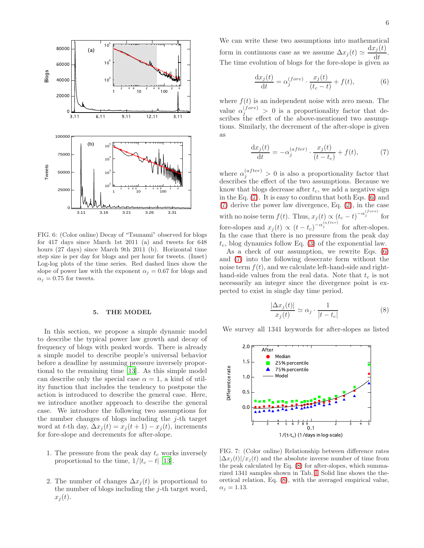

<span id="page-5-1"></span>FIG. 6: (Color online) Decay of "Tsunami" observed for blogs for 417 days since March 1st 2011 (a) and tweets for 648 hours (27 days) since March 9th 2011 (b). Horizontal time step size is per day for blogs and per hour for tweets. (Inset) Log-log plots of the time series. Red dashed lines show the slope of power law with the exponent  $\alpha_i = 0.67$  for blogs and  $\alpha_i = 0.75$  for tweets.

## <span id="page-5-0"></span>5. THE MODEL

In this section, we propose a simple dynamic model to describe the typical power law growth and decay of frequency of blogs with peaked words. There is already a simple model to describe people's universal behavior before a deadline by assuming pressure inversely proportional to the remaining time [\[13](#page-9-9)]. As this simple model can describe only the special case  $\alpha = 1$ , a kind of utility function that includes the tendency to postpone the action is introduced to describe the general case. Here, we introduce another approach to describe the general case. We introduce the following two assumptions for the number changes of blogs including the  $j$ -th target word at t-th day,  $\Delta x_i(t) = x_i(t+1) - x_i(t)$ , increments for fore-slope and decrements for after-slope.

- 1. The pressure from the peak day  $t_c$  works inversely proportional to the time,  $1/|t_c - t|$  [\[13\]](#page-9-9).
- 2. The number of changes  $\Delta x_i(t)$  is proportional to the number of blogs including the  $i$ -th target word,  $x_j(t)$ .

We can write these two assumptions into mathematical form in continuous case as we assume  $\Delta x_j(t) \simeq \frac{\mathrm{d}x_j(t)}{\mathrm{d}t}$  $\frac{f^{(v)}}{dt}$ . The time evolution of blogs for the fore-slope is given as

<span id="page-5-3"></span>
$$
\frac{\mathrm{d}x_j(t)}{\mathrm{d}t} = \alpha_j^{(fore)} \cdot \frac{x_j(t)}{(t_c - t)} + f(t),\tag{6}
$$

where  $f(t)$  is an independent noise with zero mean. The value  $\alpha_j^{(fore)} > 0$  is a proportionality factor that describes the effect of the above-mentioned two assumptions. Similarly, the decrement of the after-slope is given as

<span id="page-5-2"></span>
$$
\frac{\mathrm{d}x_j(t)}{\mathrm{d}t} = -\alpha_j^{(after)} \cdot \frac{x_j(t)}{(t - t_c)} + f(t),\tag{7}
$$

where  $\alpha_j^{(after)} > 0$  is also a proportionality factor that describes the effect of the two assumptions. Because we know that blogs decrease after  $t_c$ , we add a negative sign in the Eq. [\(7\)](#page-5-2). It is easy to confirm that both Eqs. [\(6\)](#page-5-3) and [\(7\)](#page-5-2) derive the power law divergence, Eq. [\(2\)](#page-3-2), in the case with no noise term  $f(t)$ . Thus,  $x_j(t) \propto (t_c - t)^{-\alpha_j^{(fore)}}$  for fore-slopes and  $x_j(t) \propto (t-t_c)^{-\alpha_j^{(after)}}$  for after-slopes. In the case that there is no pressure from the peak day  $t_c$ , blog dynamics follow Eq. [\(3\)](#page-3-3) of the exponential law.

As a check of our assumption, we rewrite Eqs. [\(6\)](#page-5-3) and [\(7\)](#page-5-2) into the following desecrate form without the noise term  $f(t)$ , and we calculate left-hand-side and righthand-side values from the real data. Note that  $t_c$  is not necessarily an integer since the divergence point is expected to exist in single day time period.

<span id="page-5-4"></span>
$$
\frac{|\Delta x_j(t)|}{x_j(t)} \simeq \alpha_j \cdot \frac{1}{|t - t_c|} \tag{8}
$$

We survey all 1341 keywords for after-slopes as listed



<span id="page-5-5"></span> $(C/x)$ <br> $(x)$ <br> $(1)$ <br> $(2)$ 0.1<br>  $1/(t-t_c)$  (1/days in log-scale)<br>
ollor online) Relationship between difference<br>
(*t*) and the absolute inverse number of time<br>
culated by Eq. (8) for after-slopes, which s<br>
amples shown in Tab. I. Solid line shows t  $\frac{1}{\text{days}}$ <br> $\frac{1}{\text{days}}$ <br> $\frac{1}{\text{days}}$ <br> $\frac{1}{\text{days}}$ <br> $\frac{1}{\text{days}}$ <br> $\frac{1}{\text{days}}$ <br> $\frac{1}{\text{days}}$ e abset abset abset abset as a set of the set of the set of the set of the set of the set of the set of the set of the set of the set of the set of the set of the set of the set of the set of the set of the set of the set 80.1.1.3 Puring Finity<br>ationship between<br>olute inverse num<br>(8) for after-slope<br>in Tab. I. Solid lin<br>with the averaged FIG. 7: (Color online) Relationship between difference rates  $|\Delta x_i(t)|/x_i(t)$  and the absolute inverse number of time from the peak calculated by Eq. [\(8\)](#page-5-4) for after-slopes, which summarized 1341 samples shown in Tab. [I.](#page-4-2) Solid line shows the theoretical relation, Eq. [\(8\)](#page-5-4), with the averaged empirical value,  $\alpha_j = 1.13$ .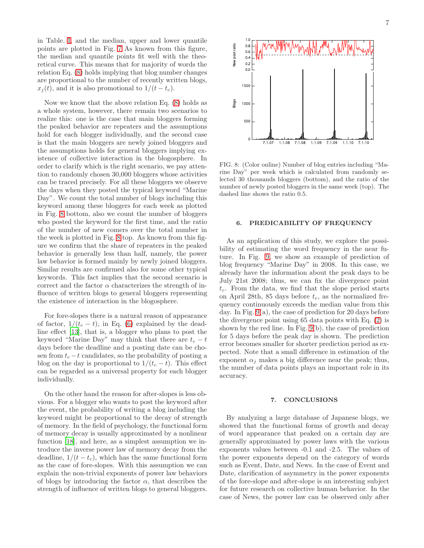in Table. [I,](#page-4-2) and the median, upper and lower quantile points are plotted in Fig. [7](#page-5-5) As known from this figure, the median and quantile points fit well with the theoretical curve. This means that for majority of words the relation Eq. [\(8\)](#page-5-4) holds implying that blog number changes are proportional to the number of recently written blogs,  $x_i(t)$ , and it is also promotional to  $1/(t-t_c)$ .

Now we know that the above relation Eq. [\(8\)](#page-5-4) holds as a whole system, however, there remain two scenarios to realize this: one is the case that main bloggers forming the peaked behavior are repeaters and the assumptions hold for each blogger individually, and the second case is that the main bloggers are newly joined bloggers and the assumptions holds for general bloggers implying existence of collective interaction in the blogosphere. In order to clarify which is the right scenario, we pay attention to randomly chosen 30,000 bloggers whose activities can be traced precisely. For all these bloggers we observe the days when they posted the typical keyword "Marine Day". We count the total number of blogs including this keyword among these bloggers for each week as plotted in Fig. [8](#page-6-1) bottom, also we count the number of bloggers who posted the keyword for the first time, and the ratio of the number of new comers over the total number in the week is plotted in Fig. [8](#page-6-1) top. As known from this figure we confirm that the share of repeaters in the peaked behavior is generally less than half, namely, the power law behavior is formed mainly by newly joined bloggers. Similar results are confirmed also for some other typical keywords. This fact implies that the second scenario is correct and the factor  $\alpha$  characterizes the strength of influence of written blogs to general bloggers representing the existence of interaction in the blogosphere.

For fore-slopes there is a natural reason of appearance of factor,  $1/(t_c - t)$ , in Eq. [\(6\)](#page-5-3) explained by the deadline effect [\[13\]](#page-9-9), that is, a blogger who plans to post the keyword "Marine Day" may think that there are  $t_c - t$ days before the deadline and a posting date can be chosen from  $t_c - t$  candidates, so the probability of posting a blog on the day is proportional to  $1/(t_c - t)$ . This effect can be regarded as a universal property for each blogger individually.

On the other hand the reason for after-slopes is less obvious. For a blogger who wants to post the keyword after the event, the probability of writing a blog including the keyword might be proportional to the decay of strength of memory. In the field of psychology, the functional form of memory decay is usually approximated by a nonlinear function [\[18\]](#page-9-13), and here, as a simplest assumption we introduce the inverse power law of memory decay from the deadline,  $1/(t - t_c)$ , which has the same functional form as the case of fore-slopes. With this assumption we can explain the non-trivial exponents of power law behaviors of blogs by introducing the factor  $\alpha$ , that describes the strength of influence of written blogs to general bloggers.



<span id="page-6-1"></span>FIG. 8: (Color online) Number of blog entries including "Marine Day" per week which is calculated from randomly selected 30 thousands bloggers (bottom), and the ratio of the number of newly posted bloggers in the same week (top). The dashed line shows the ratio 0.5.

#### <span id="page-6-0"></span>6. PREDICABILITY OF FREQUENCY

As an application of this study, we explore the possibility of estimating the word frequency in the near future. In Fig. [9,](#page-7-1) we show an example of prediction of blog frequency "Marine Day" in 2008. In this case, we already have the information about the peak days to be July 21st 2008; thus, we can fix the divergence point  $t_c$ . From the data, we find that the slope period starts on April 28th, 85 days before  $t_c$ , as the normalized frequency continuously exceeds the median value from this day. In Fig. [9\(](#page-7-1)a), the case of prediction for 20 days before the divergence point using 65 data points with Eq. [\(2\)](#page-3-2) is shown by the red line. In Fig. [9\(](#page-7-1)b), the case of prediction for 5 days before the peak day is shown. The prediction error becomes smaller for shorter prediction period as expected. Note that a small difference in estimation of the exponent  $\alpha_i$  makes a big difference near the peak; thus, the number of data points plays an important role in its accuracy.

## 7. CONCLUSIONS

By analyzing a large database of Japanese blogs, we showed that the functional forms of growth and decay of word appearance that peaked on a certain day are generally approximated by power laws with the various exponents values between -0.1 and -2.5. The values of the power exponents depend on the category of words such as Event, Date, and News. In the case of Event and Date, clarification of asymmetry in the power exponents of the fore-slope and after-slope is an interesting subject for future research on collective human behavior. In the case of News, the power law can be observed only after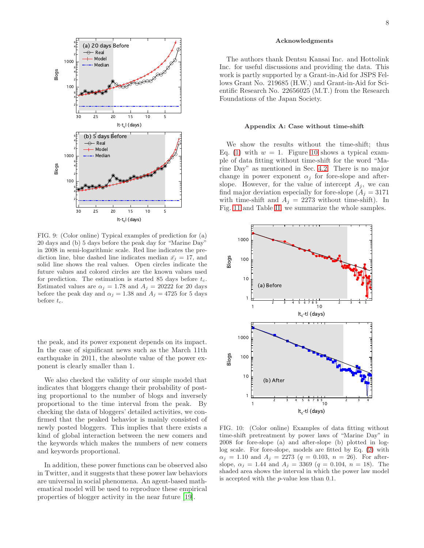

<span id="page-7-1"></span>FIG. 9: (Color online) Typical examples of prediction for (a) 20 days and (b) 5 days before the peak day for "Marine Day" in 2008 in semi-logarithmic scale. Red line indicates the prediction line, blue dashed line indicates median  $\bar{x}_i = 17$ , and solid line shows the real values. Open circles indicate the future values and colored circles are the known values used for prediction. The estimation is started 85 days before  $t_c$ . Estimated values are  $\alpha_i = 1.78$  and  $A_i = 20222$  for 20 days before the peak day and  $\alpha_j = 1.38$  and  $A_j = 4725$  for 5 days before  $t_c$ .

the peak, and its power exponent depends on its impact. In the case of significant news such as the March 11th earthquake in 2011, the absolute value of the power exponent is clearly smaller than 1.

We also checked the validity of our simple model that indicates that bloggers change their probability of posting proportional to the number of blogs and inversely proportional to the time interval from the peak. By checking the data of bloggers' detailed activities, we confirmed that the peaked behavior is mainly consisted of newly posted bloggers. This implies that there exists a kind of global interaction between the new comers and the keywords which makes the numbers of new comers and keywords proportional.

In addition, these power functions can be observed also in Twitter, and it suggests that these power law behaviors are universal in social phenomena. An agent-based mathematical model will be used to reproduce these empirical properties of blogger activity in the near future [\[19\]](#page-9-14).

# Acknowledgments

The authors thank Dentsu Kansai Inc. and Hottolink Inc. for useful discussions and providing the data. This work is partly supported by a Grant-in-Aid for JSPS Fellows Grant No. 219685 (H.W.) and Grant-in-Aid for Scientific Research No. 22656025 (M.T.) from the Research Foundations of the Japan Society.

#### <span id="page-7-0"></span>Appendix A: Case without time-shift

We show the results without the time-shift; thus Eq. [\(1\)](#page-2-2) with  $w = 1$ . Figure [10](#page-7-2) shows a typical example of data fitting without time-shift for the word "Marine Day" as mentioned in Sec. [4.2.](#page-3-4) There is no major change in power exponent  $\alpha_i$  for fore-slope and afterslope. However, for the value of intercept  $A_i$ , we can find major deviation especially for fore-slope  $(A_j = 3171)$ with time-shift and  $A_j = 2273$  without time-shift). In Fig. [11](#page-8-1) and Table [II,](#page-8-2) we summarize the whole samples.



<span id="page-7-2"></span>FIG. 10: (Color online) Examples of data fitting without time-shift pretreatment by power laws of "Marine Day" in 2008 for fore-slope (a) and after-slope (b) plotted in loglog scale. For fore-slope, models are fitted by Eq. [\(2\)](#page-3-2) with  $\alpha_j = 1.10$  and  $A_j = 2273$  ( $q = 0.103$ ,  $n = 26$ ). For afterslope,  $\alpha_j = 1.44$  and  $A_j = 3369$  ( $q = 0.104$ ,  $n = 18$ ). The shaded area shows the interval in which the power law model is accepted with the p-value less than 0.1.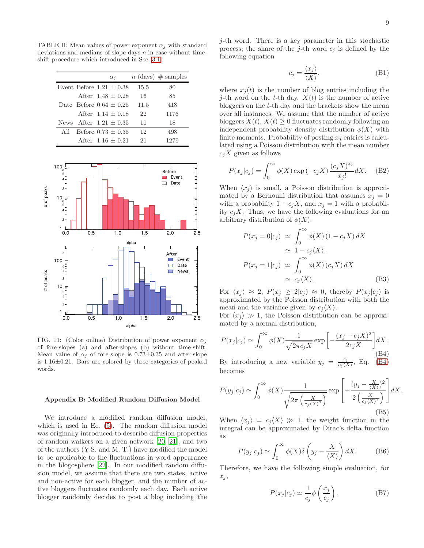TABLE II: Mean values of power exponent  $\alpha_i$  with standard deviations and medians of slope days  $n$  in case without timeshift procedure which introduced in Sec. [3.1.](#page-1-3)

<span id="page-8-2"></span>

|     | $\alpha_i$                  |      | $n \text{ (days)} \# \text{ samples}$ |
|-----|-----------------------------|------|---------------------------------------|
|     | Event. Before $1.21 + 0.38$ | 15.5 | 80                                    |
|     | After $1.48 + 0.28$         | 16   | 85                                    |
|     | Date Before $0.64 \pm 0.25$ | 11.5 | 418                                   |
|     | After $1.14 + 0.18$         | 22   | 1176                                  |
|     | News After $1.21 + 0.35$    | 11   | 18                                    |
| All | Before $0.73 + 0.35$        | 12   | 498                                   |
|     | After $1.16 + 0.21$         | 21   |                                       |



<span id="page-8-1"></span>FIG. 11: (Color online) Distribution of power exponent  $\alpha_i$ of fore-slopes (a) and after-slopes (b) without time-shift. Mean value of  $\alpha_i$  of fore-slope is 0.73 $\pm$ 0.35 and after-slope is 1.16±0.21. Bars are colored by three categories of peaked words.

#### <span id="page-8-0"></span>Appendix B: Modified Random Diffusion Model

We introduce a modified random diffusion model, which is used in Eq. [\(5\)](#page-3-1). The random diffusion model was originally introduced to describe diffusion properties of random walkers on a given network [\[20](#page-9-15), [21\]](#page-9-16), and two of the authors (Y.S. and M. T.) have modified the model to be applicable to the fluctuations in word appearance in the blogosphere [\[22\]](#page-9-17). In our modified random diffusion model, we assume that there are two states, active and non-active for each blogger, and the number of active bloggers fluctuates randomly each day. Each active blogger randomly decides to post a blog including the

j-th word. There is a key parameter in this stochastic process; the share of the j-th word  $c_j$  is defined by the following equation

$$
c_j = \frac{\langle x_j \rangle}{\langle X \rangle},\tag{B1}
$$

where  $x_i(t)$  is the number of blog entries including the j-th word on the t-th day.  $X(t)$  is the number of active bloggers on the t-th day and the brackets show the mean over all instances. We assume that the number of active bloggers  $X(t)$ ,  $X(t) \geq 0$  fluctuates randomly following an independent probability density distribution  $\phi(X)$  with finite moments. Probability of posting  $x_i$  entries is calculated using a Poisson distribution with the mean number  $c_iX$  given as follows

$$
P(x_j|c_j) = \int_0^\infty \phi(X) \exp(-c_j X) \frac{(c_j X)^{x_j}}{x_j!} dX.
$$
 (B2)

When  $\langle x_j \rangle$  is small, a Poisson distribution is approximated by a Bernoulli distribution that assumes  $x_i = 0$ with a probability  $1 - c_i X$ , and  $x_i = 1$  with a probability  $c_iX$ . Thus, we have the following evaluations for an arbitrary distribution of  $\phi(X)$ .

<span id="page-8-4"></span>
$$
P(x_j = 0|c_j) \simeq \int_0^\infty \phi(X) (1 - c_j X) dX
$$
  
\simeq 1 - c\_j \langle X \rangle,  

$$
P(x_j = 1|c_j) \simeq \int_0^\infty \phi(X) (c_j X) dX
$$
  
\simeq c\_j \langle X \rangle. (B3)

For  $\langle x_i \rangle \approx 2$ ,  $P(x_i \geq 2|c_i) \approx 0$ , thereby  $P(x_i|c_i)$  is approximated by the Poisson distribution with both the mean and the variance given by  $c_i \langle X \rangle$ .

For  $\langle x_i \rangle \gg 1$ , the Poisson distribution can be approximated by a normal distribution,

<span id="page-8-3"></span>
$$
P(x_j|c_j) \simeq \int_0^\infty \phi(X) \frac{1}{\sqrt{2\pi c_j X}} \exp\left[-\frac{(x_j - c_j X)^2}{2c_j X}\right] dX.
$$
\n(B4)

By introducing a new variable  $y_j = \frac{x_j}{c_1}$  $\frac{x_j}{c_j \langle X \rangle}$ , Eq. [\(B4\)](#page-8-3) becomes

$$
P(y_j|c_j) \simeq \int_0^\infty \phi(X) \frac{1}{\sqrt{2\pi \left(\frac{X}{c_j(X)^2}\right)}} \exp\left[-\frac{(y_j - \frac{X}{\langle X \rangle})^2}{2\left(\frac{X}{c_j(X)^2}\right)}\right] dX.
$$
\n(B5)

When  $\langle x_i \rangle = c_i \langle X \rangle \gg 1$ , the weight function in the integral can be approximated by Dirac's delta function as

$$
P(y_j|c_j) \simeq \int_0^\infty \phi(X)\delta\left(y_j - \frac{X}{\langle X \rangle}\right) dX. \tag{B6}
$$

Therefore, we have the following simple evaluation, for  $x_j$ ,

$$
P(x_j|c_j) \simeq \frac{1}{c_j} \phi\left(\frac{x_j}{c_j}\right). \tag{B7}
$$